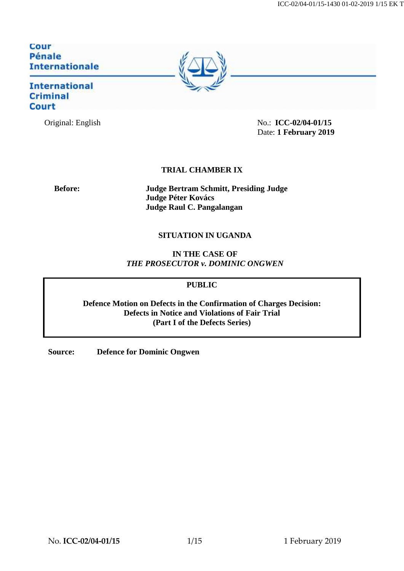ICC-02/04-01/15-1430 01-02-2019 1/15 EK T

# Cour<br>Pénale **Internationale**

# **International** Criminal **Court**



# **TRIAL CHAMBER IX**

**Before: Judge Bertram Schmitt, Presiding Judge Judge Péter Kovács Judge Raul C. Pangalangan**

# **SITUATION IN UGANDA**

**IN THE CASE OF** *THE PROSECUTOR v. DOMINIC ONGWEN*

## **PUBLIC**

**Defence Motion on Defects in the Confirmation of Charges Decision: Defects in Notice and Violations of Fair Trial (Part I of the Defects Series)**

**Source: Defence for Dominic Ongwen**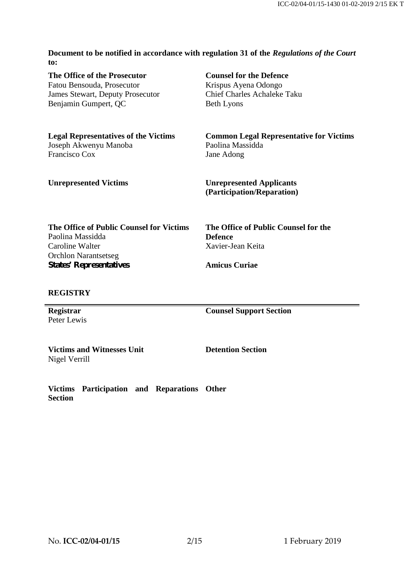**Document to be notified in accordance with regulation 31 of the** *Regulations of the Court* **to:**

**The Office of the Prosecutor** Fatou Bensouda, Prosecutor James Stewart, Deputy Prosecutor Benjamin Gumpert, QC **Counsel for the Defence** Krispus Ayena Odongo Chief Charles Achaleke Taku Beth Lyons **Legal Representatives of the Victims** Joseph Akwenyu Manoba Francisco Cox **Common Legal Representative for Victims** Paolina Massidda Jane Adong **Unrepresented Victims Unrepresented Applicants (Participation/Reparation)**

| The Office of Public Counsel for Victims | The Office of Public Counsel for the |
|------------------------------------------|--------------------------------------|
| Paolina Massidda                         | <b>Defence</b>                       |
| Caroline Walter                          | Xavier-Jean Keita                    |
| <b>Orchlon Narantsetseg</b>              |                                      |
| <b>States' Representatives</b>           | <b>Amicus Curiae</b>                 |

#### **REGISTRY**

**Registrar** Peter Lewis **Counsel Support Section**

**Victims and Witnesses Unit** Nigel Verrill

**Detention Section**

**Victims Participation and Reparations Other Section**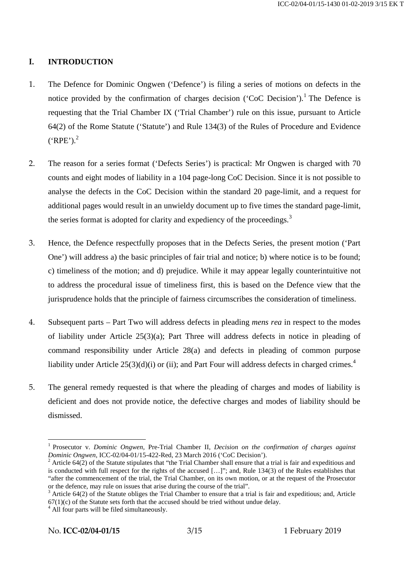# **I. INTRODUCTION**

- 1. The Defence for Dominic Ongwen ('Defence') is filing a series of motions on defects in the notice provided by the confirmation of charges decision ('CoC Decision').<sup>1</sup> The Defence is requesting that the Trial Chamber IX ('Trial Chamber') rule on this issue, pursuant to Article 64(2) of the Rome Statute ('Statute') and Rule 134(3) of the Rules of Procedure and Evidence  $("RPE$ <sup>2</sup>.
- 2. The reason for a series format ('Defects Series') is practical: Mr Ongwen is charged with 70 counts and eight modes of liability in a 104 page-long CoC Decision. Since it is not possible to analyse the defects in the CoC Decision within the standard 20 page-limit, and a request for additional pages would result in an unwieldy document up to five times the standard page-limit, the series format is adopted for clarity and expediency of the proceedings.<sup>3</sup>
- 3. Hence, the Defence respectfully proposes that in the Defects Series, the present motion ('Part One') will address a) the basic principles of fair trial and notice; b) where notice is to be found; c) timeliness of the motion; and d) prejudice. While it may appear legally counterintuitive not to address the procedural issue of timeliness first, this is based on the Defence view that the jurisprudence holds that the principle of fairness circumscribes the consideration of timeliness.
- 4. Subsequent parts Part Two will address defects in pleading *mens rea* in respect to the modes of liability under Article 25(3)(a); Part Three will address defects in notice in pleading of command responsibility under Article 28(a) and defects in pleading of common purpose liability under Article  $25(3)(d)(i)$  or (ii); and Part Four will address defects in charged crimes.<sup>4</sup>
- 5. The general remedy requested is that where the pleading of charges and modes of liability is deficient and does not provide notice, the defective charges and modes of liability should be dismissed.

<sup>&</sup>lt;sup>1</sup> Prosecutor v. *Dominic Ongwen*, Pre-Trial Chamber II, *Decision on the confirmation of charges against Dominic Ongwen*, ICC-02/04-01/15-422-Red. 23 March 2016 ('CoC Decision').

<sup>&</sup>lt;sup>2</sup> Article 64(2) of the Statute stipulates that "the Trial Chamber shall ensure that a trial is fair and expeditious and is conducted with full respect for the rights of the accused […]"; and, Rule 134(3) of the Rules establishes that "after the commencement of the trial, the Trial Chamber, on its own motion, or at the request of the Prosecutor or the defence, may rule on issues that arise during the course of the trial".

Article 64(2) of the Statute obliges the Trial Chamber to ensure that a trial is fair and expeditious; and, Article  $67(1)(c)$  of the Statute sets forth that the accused should be tried without undue delay.<br><sup>4</sup> All four parts will be filed simultaneously.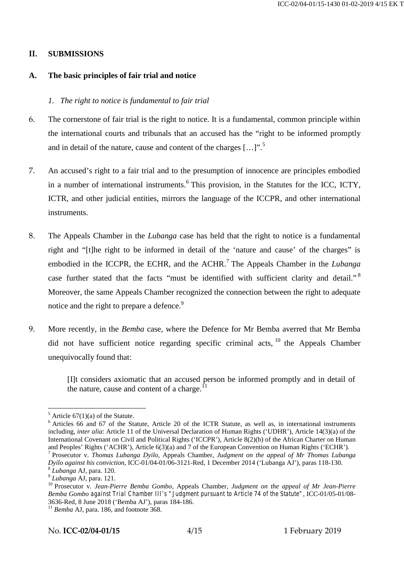#### **II. SUBMISSIONS**

#### **A. The basic principles of fair trial and notice**

#### *1. The right to notice is fundamental to fair trial*

- 6. The cornerstone of fair trial is the right to notice. It is a fundamental, common principle within the international courts and tribunals that an accused has the "right to be informed promptly and in detail of the nature, cause and content of the charges  $[...]$ .
- 7. An accused's right to a fair trial and to the presumption of innocence are principles embodied in a number of international instruments.<sup>6</sup> This provision, in the Statutes for the ICC, ICTY, ICTR, and other judicial entities, mirrors the language of the ICCPR, and other international instruments.
- 8. The Appeals Chamber in the *Lubanga* case has held that the right to notice is a fundamental right and "[t]he right to be informed in detail of the 'nature and cause' of the charges" is embodied in the ICCPR, the ECHR, and the ACHR.<sup>7</sup> The Appeals Chamber in the *Lubanga* case further stated that the facts "must be identified with sufficient clarity and detail."<sup>8</sup> Moreover, the same Appeals Chamber recognized the connection between the right to adequate notice and the right to prepare a defence.<sup>9</sup>
- 9. More recently, in the *Bemba* case, where the Defence for Mr Bemba averred that Mr Bemba did not have sufficient notice regarding specific criminal acts, <sup>10</sup> the Appeals Chamber unequivocally found that:

[I]t considers axiomatic that an accused person be informed promptly and in detail of the nature, cause and content of a charge.

<sup>&</sup>lt;sup>5</sup> Article 67(1)(a) of the Statute.<br><sup>6</sup> Articles 66 and 67 of the Statute, Article 20 of the ICTR Statute, as well as, in international instruments including, *inter alia*: Article 11 of the Universal Declaration of Human Rights ('UDHR'), Article 14(3)(a) of the International Covenant on Civil and Political Rights ('ICCPR'), Article 8(2)(b) of the African Charter on Human and Peoples' Rights ('ACHR'), Article 6(3)(a) and 7 of the European Convention on Human Rights ('ECHR'). <sup>7</sup> Prosecutor v. *Thomas Lubanga Dyilo*, Appeals Chamber, *Judgment on the appeal of Mr Thomas Lubanga*

Dyilo against his conviction, ICC-01/04-01/06-3121-Red, 1 December 2014 ('Lubanga AJ'), paras 118-130.<br>
<sup>8</sup> Lubanga AJ, para. 120.<br>
<sup>9</sup> Lubanga AJ, para. 121.<br>
<sup>10</sup> Prosecutor v. *Jean-Pierre Bemba Gombo*, Appeals Chamber, *Bemba Gombo against Trial Chamber III's "Judgment pursuant to Article 74 of the Statute"*, ICC-01/05-01/08-

 $^{11}$  Bemba AJ, para. 186, and footnote 368.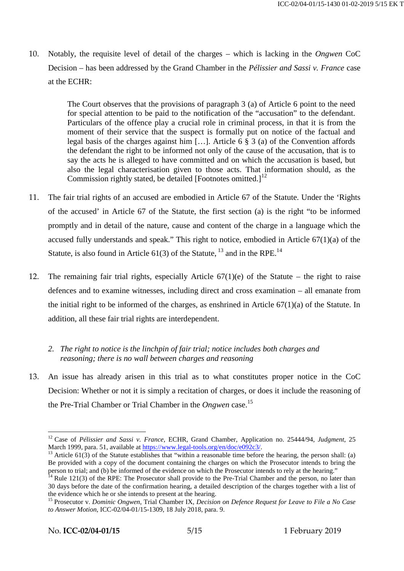10. Notably, the requisite level of detail of the charges – which is lacking in the *Ongwen* CoC Decision – has been addressed by the Grand Chamber in the *Pélissier and Sassi v. France* case at the ECHR:

> The Court observes that the provisions of paragraph 3 (a) of Article 6 point to the need for special attention to be paid to the notification of the "accusation" to the defendant. Particulars of the offence play a crucial role in criminal process, in that it is from the moment of their service that the suspect is formally put on notice of the factual and legal basis of the charges against him […]. Article 6 § 3 (a) of the Convention affords the defendant the right to be informed not only of the cause of the accusation, that is to say the acts he is alleged to have committed and on which the accusation is based, but also the legal characterisation given to those acts. That information should, as the Commission rightly stated, be detailed [Footnotes omitted.] $<sup>12</sup>$ </sup>

- 11. The fair trial rights of an accused are embodied in Article 67 of the Statute. Under the 'Rights of the accused' in Article 67 of the Statute, the first section (a) is the right "to be informed promptly and in detail of the nature, cause and content of the charge in a language which the accused fully understands and speak." This right to notice, embodied in Article 67(1)(a) of the Statute, is also found in Article  $61(3)$  of the Statute,  $^{13}$  and in the RPE.<sup>14</sup>
- 12. The remaining fair trial rights, especially Article  $67(1)(e)$  of the Statute the right to raise defences and to examine witnesses, including direct and cross examination – all emanate from the initial right to be informed of the charges, as enshrined in Article  $67(1)(a)$  of the Statute. In addition, all these fair trial rights are interdependent.

# *2. The right to notice is the linchpin of fair trial; notice includes both charges and reasoning; there is no wall between charges and reasoning*

13. An issue has already arisen in this trial as to what constitutes proper notice in the CoC Decision: Whether or not it is simply a recitation of charges, or does it include the reasoning of the Pre-Trial Chamber or Trial Chamber in the *Ongwen* case.<sup>15</sup>

<sup>&</sup>lt;sup>12</sup> Case of *Pélissier and Sassi v. France*, ECHR, Grand Chamber, Application no. 25444/94, *Judgment*, 25 March 1999, para. 51, available at https://www.legal-tools.org/en/doc/e092c3/.

<sup>&</sup>lt;sup>13</sup> Article 61(3) of the Statute establishes that "within a reasonable time before the hearing, the person shall: (a) Be provided with a copy of the document containing the charges on which the Prosecutor intends to bring the person to trial; and (b) be informed of the evidence on which the Prosecutor intends to rely at the hearing."

 $^{14}$  Rule 121(3) of the RPE: The Prosecutor shall provide to the Pre-Trial Chamber and the person, no later than 30 days before the date of the confirmation hearing, a detailed description of the charges together with a list of the evidence which he or she intends to present at the hearing.

<sup>&</sup>lt;sup>15</sup> Prosecutor v. *Dominic Ongwen*, Trial Chamber IX, *Decision on Defence Request for Leave to File a No Case to Answer Motion*, ICC-02/04-01/15-1309, 18 July 2018, para. 9.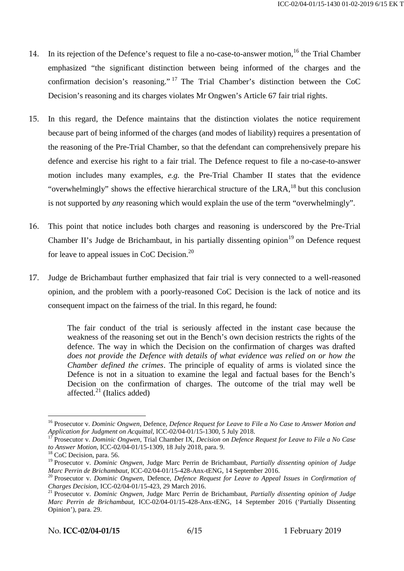- 14. In its rejection of the Defence's request to file a no-case-to-answer motion,<sup>16</sup> the Trial Chamber emphasized "the significant distinction between being informed of the charges and the confirmation decision's reasoning." <sup>17</sup> The Trial Chamber's distinction between the CoC Decision's reasoning and its charges violates Mr Ongwen's Article 67 fair trial rights.
- 15. In this regard, the Defence maintains that the distinction violates the notice requirement because part of being informed of the charges (and modes of liability) requires a presentation of the reasoning of the Pre-Trial Chamber, so that the defendant can comprehensively prepare his defence and exercise his right to a fair trial. The Defence request to file a no-case-to-answer motion includes many examples, *e.g.* the Pre-Trial Chamber II states that the evidence "overwhelmingly" shows the effective hierarchical structure of the  $LRA$ ,<sup>18</sup> but this conclusion is not supported by *any* reasoning which would explain the use of the term "overwhelmingly".
- 16. This point that notice includes both charges and reasoning is underscored by the Pre-Trial Chamber II's Judge de Brichambaut, in his partially dissenting opinion<sup>19</sup> on Defence request for leave to appeal issues in CoC Decision.<sup>20</sup>
- 17. Judge de Brichambaut further emphasized that fair trial is very connected to a well-reasoned opinion, and the problem with a poorly-reasoned CoC Decision is the lack of notice and its consequent impact on the fairness of the trial. In this regard, he found:

The fair conduct of the trial is seriously affected in the instant case because the weakness of the reasoning set out in the Bench's own decision restricts the rights of the defence. The way in which the Decision on the confirmation of charges was drafted *does not provide the Defence with details of what evidence was relied on or how the Chamber defined the crimes*. The principle of equality of arms is violated since the Defence is not in a situation to examine the legal and factual bases for the Bench's Decision on the confirmation of charges. The outcome of the trial may well be affected. $21$  (Italics added)

<sup>&</sup>lt;sup>16</sup> Prosecutor v. *Dominic Ongwen*, Defence, *Defence Request for Leave to File a No Case to Answer Motion and Application for Judgment on Acquittal, ICC-02/04-01/15-1300, 5 July 2018.* 

<sup>&</sup>lt;sup>17</sup> Prosecutor v. *Dominic Ongwen*, Trial Chamber IX, *Decision on Defence Request for Leave to File a No Case to Answer Motion*, ICC-02/04-01/15-1309, 18 July 2018, para. 9.<br><sup>18</sup> CoC Decision, para. 56.

<sup>&</sup>lt;sup>19</sup> Prosecutor v. *Dominic Ongwen*, Judge Marc Perrin de Brichambaut, *Partially dissenting opinion of Judge Marc Perrin de Brichambaut*, ICC-02/04-01/15-428-Anx-tENG, 14 September 2016.

<sup>&</sup>lt;sup>20</sup> Prosecutor v. *Dominic Ongwen*, Defence, *Defence Request for Leave to Appeal Issues in Confirmation of Charges Decision, ICC-02/04-01/15-423, 29 March 2016.* 

<sup>&</sup>lt;sup>21</sup> Prosecutor v. *Dominic Ongwen*, Judge Marc Perrin de Brichambaut, *Partially dissenting opinion of Judge Marc Perrin de Brichambaut*, ICC-02/04-01/15-428-Anx-tENG, 14 September 2016 ('Partially Dissenting Opinion'), para. 29.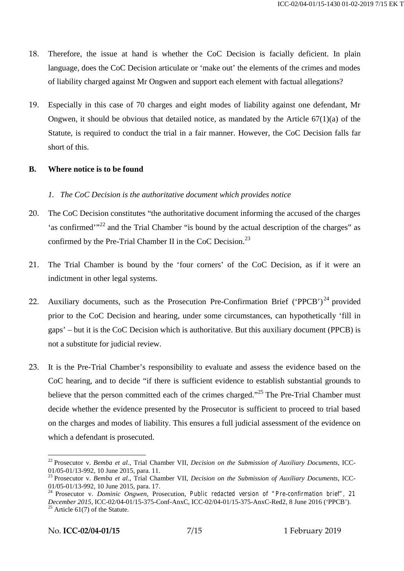- 18. Therefore, the issue at hand is whether the CoC Decision is facially deficient. In plain language, does the CoC Decision articulate or 'make out' the elements of the crimes and modes of liability charged against Mr Ongwen and support each element with factual allegations?
- 19. Especially in this case of 70 charges and eight modes of liability against one defendant, Mr Ongwen, it should be obvious that detailed notice, as mandated by the Article  $67(1)(a)$  of the Statute, is required to conduct the trial in a fair manner. However, the CoC Decision falls far short of this.

## **B. Where notice is to be found**

## *1. The CoC Decision is the authoritative document which provides notice*

- 20. The CoC Decision constitutes "the authoritative document informing the accused of the charges 'as confirmed'"<sup>22</sup> and the Trial Chamber "is bound by the actual description of the charges" as confirmed by the Pre-Trial Chamber II in the CoC Decision.<sup>23</sup>
- 21. The Trial Chamber is bound by the 'four corners' of the CoC Decision, as if it were an indictment in other legal systems.
- 22. Auxiliary documents, such as the Prosecution Pre-Confirmation Brief ('PPCB')<sup>24</sup> provided prior to the CoC Decision and hearing, under some circumstances, can hypothetically 'fill in gaps' – but it is the CoC Decision which is authoritative. But this auxiliary document (PPCB) is not a substitute for judicial review.
- 23. It is the Pre-Trial Chamber's responsibility to evaluate and assess the evidence based on the CoC hearing, and to decide "if there is sufficient evidence to establish substantial grounds to believe that the person committed each of the crimes charged."<sup>25</sup> The Pre-Trial Chamber must decide whether the evidence presented by the Prosecutor is sufficient to proceed to trial based on the charges and modes of liability. This ensures a full judicial assessment of the evidence on which a defendant is prosecuted.

<sup>&</sup>lt;sup>22</sup> Prosecutor v. *Bemba et al.*, Trial Chamber VII, *Decision on the Submission of Auxiliary Documents*, ICC-01/05-01/13-992, 10 June 2015, para. 11.

<sup>&</sup>lt;sup>23</sup> Prosecutor v. *Bemba et al.*, Trial Chamber VII, *Decision on the Submission of Auxiliary Documents*, ICC-01/05-01/13-992, 10 June 2015, para. 17.

<sup>01/05-01/13-992, 10</sup> June 2015, para. 17. <sup>24</sup> Prosecutor v. *Dominic Ongwen*, Prosecution, *Public redacted version of "Pre-confirmation brief", 21 December 2015*, ICC-02/04-01/15-375-Conf-AnxC, ICC-02/04-01/15-375-AnxC-Red2, 8 June 2016 ('PPCB').<br><sup>25</sup> Article 61(7) of the Statute.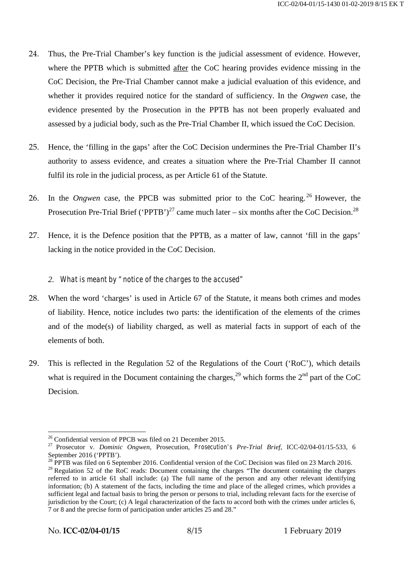- 24. Thus, the Pre-Trial Chamber's key function is the judicial assessment of evidence. However, where the PPTB which is submitted after the CoC hearing provides evidence missing in the CoC Decision, the Pre-Trial Chamber cannot make a judicial evaluation of this evidence, and whether it provides required notice for the standard of sufficiency. In the *Ongwen* case, the evidence presented by the Prosecution in the PPTB has not been properly evaluated and assessed by a judicial body, such as the Pre-Trial Chamber II, which issued the CoC Decision.
- 25. Hence, the 'filling in the gaps' after the CoC Decision undermines the Pre-Trial Chamber II's authority to assess evidence, and creates a situation where the Pre-Trial Chamber II cannot fulfil its role in the judicial process, as per Article 61 of the Statute.
- 26. In the *Ongwen* case, the PPCB was submitted prior to the CoC hearing.<sup>26</sup> However, the Prosecution Pre-Trial Brief ('PPTB')<sup>27</sup> came much later – six months after the CoC Decision.<sup>28</sup>
- 27. Hence, it is the Defence position that the PPTB, as a matter of law, cannot 'fill in the gaps' lacking in the notice provided in the CoC Decision.
	- *2. What is meant by "notice of the charges to the accused"*
- 28. When the word 'charges' is used in Article 67 of the Statute, it means both crimes and modes of liability. Hence, notice includes two parts: the identification of the elements of the crimes and of the mode(s) of liability charged, as well as material facts in support of each of the elements of both.
- 29. This is reflected in the Regulation 52 of the Regulations of the Court ('RoC'), which details what is required in the Document containing the charges,  $^{29}$  which forms the  $2<sup>nd</sup>$  part of the CoC Decision.

<sup>&</sup>lt;sup>26</sup> Confidential version of PPCB was filed on 21 December 2015.<br><sup>27</sup> Prosecutor v. *Dominic Ongwen*, Prosecution, *Prosecution's Pre-Trial Brief*, ICC-02/04-01/15-533, 6<br>September 2016 ('PPTB').

 $^{28}$  PPTB was filed on 6 September 2016. Confidential version of the CoC Decision was filed on 23 March 2016. <sup>29</sup> Regulation 52 of the RoC reads: Document containing the charges "The document containing the charges" referred to in article 61 shall include: (a) The full name of the person and any other relevant identifying information; (b) A statement of the facts, including the time and place of the alleged crimes, which provides a sufficient legal and factual basis to bring the person or persons to trial, including relevant facts for the exercise of jurisdiction by the Court; (c) A legal characterization of the facts to accord both with the crimes under articles 6, 7 or 8 and the precise form of participation under articles 25 and 28."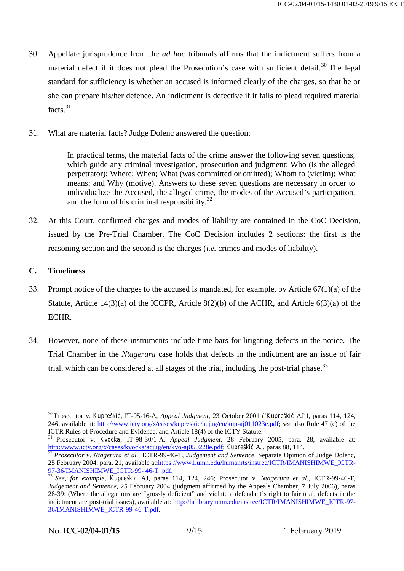- 30. Appellate jurisprudence from the *ad hoc* tribunals affirms that the indictment suffers from a material defect if it does not plead the Prosecution's case with sufficient detail.<sup>30</sup> The legal standard for sufficiency is whether an accused is informed clearly of the charges, so that he or she can prepare his/her defence. An indictment is defective if it fails to plead required material facts.<sup>31</sup>
- 31. What are material facts? Judge Dolenc answered the question:

In practical terms, the material facts of the crime answer the following seven questions, which guide any criminal investigation, prosecution and judgment: Who (is the alleged perpetrator); Where; When; What (was committed or omitted); Whom to (victim); What means; and Why (motive). Answers to these seven questions are necessary in order to individualize the Accused, the alleged crime, the modes of the Accused's participation, and the form of his criminal responsibility. $32$ 

32. At this Court, confirmed charges and modes of liability are contained in the CoC Decision, issued by the Pre-Trial Chamber. The CoC Decision includes 2 sections: the first is the reasoning section and the second is the charges (*i.e.* crimes and modes of liability).

# **C. Timeliness**

- 33. Prompt notice of the charges to the accused is mandated, for example, by Article 67(1)(a) of the Statute, Article 14(3)(a) of the ICCPR, Article 8(2)(b) of the ACHR, and Article 6(3)(a) of the ECHR.
- 34. However, none of these instruments include time bars for litigating defects in the notice. The Trial Chamber in the *Ntagerura* case holds that defects in the indictment are an issue of fair trial, which can be considered at all stages of the trial, including the post-trial phase.<sup>33</sup>

<sup>&</sup>lt;sup>30</sup> Prosecutor v. *Kupreški*, IT-95-16-A, *Appeal Judgment*, 23 October 2001 ('*Kupreški* AJ'), paras 114, 124, 246, available at: http://www.icty.org/x/cases/kupreskic/acjug/en/kup-aj011023e.pdf; *see* also Rule 47 (c) of the ICTR Rules of Procedure and Evidence, and Article 18(4) of the ICTY Statute.

<sup>&</sup>lt;sup>31</sup> Prosecutor v. *Kvo ka*, IT-98-30/1-A, *Appeal Judgment*, 28 February 2005, para. 28, available at: http://www.icty.org/x/cases/kvocka/acjug/en/kvo-aj050228e.pdf; *Kupreški* AJ, paras 88, 114.<br><sup>32</sup> *Prosecutor v. Ntagerura et al.*, ICTR-99-46-T, *Judgement and Sentence*, Separate Opinion of Judge Dolenc,

<sup>25</sup> February 2004, para. 21, available at:https://www1.umn.edu/humanrts/instree/ICTR/IMANISHIMWE\_ICTR-

<sup>97-36/</sup>IMANISHIMWE\_ICTR-99- 46-T .pdf. <sup>33</sup> *See, for example*, *Kupreškić* AJ*,* paras 114, 124, 246; Prosecutor v. *Ntagerura et al.*, ICTR-99-46-T, *Judgement and Sentence*, 25 February 2004 (judgment affirmed by the Appeals Chamber, 7 July 2006), paras 28-39: (Where the allegations are "grossly deficient" and violate a defendant's right to fair trial, defects in the indictment are post-trial issues), available at: http://hrlibrary.umn.edu/instree/ICTR/IMANISHIMWE\_ICTR-97- 36/IMANISHIMWE\_ICTR-99-46-T.pdf.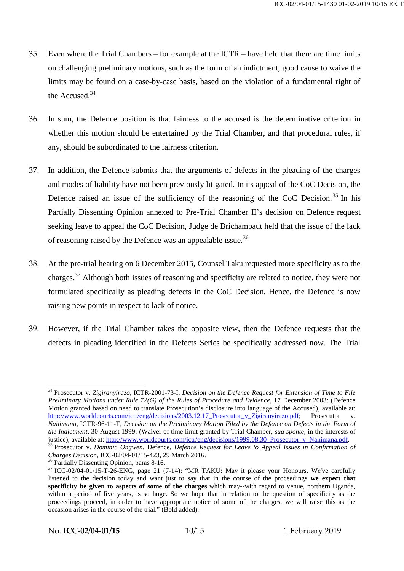- 35. Even where the Trial Chambers for example at the ICTR have held that there are time limits on challenging preliminary motions, such as the form of an indictment, good cause to waive the limits may be found on a case-by-case basis, based on the violation of a fundamental right of the Accused.<sup>34</sup>
- 36. In sum, the Defence position is that fairness to the accused is the determinative criterion in whether this motion should be entertained by the Trial Chamber, and that procedural rules, if any, should be subordinated to the fairness criterion.
- 37. In addition, the Defence submits that the arguments of defects in the pleading of the charges and modes of liability have not been previously litigated. In its appeal of the CoC Decision, the Defence raised an issue of the sufficiency of the reasoning of the CoC Decision.<sup>35</sup> In his Partially Dissenting Opinion annexed to Pre-Trial Chamber II's decision on Defence request seeking leave to appeal the CoC Decision, Judge de Brichambaut held that the issue of the lack of reasoning raised by the Defence was an appealable issue.<sup>36</sup>
- 38. At the pre-trial hearing on 6 December 2015, Counsel Taku requested more specificity as to the charges.<sup>37</sup> Although both issues of reasoning and specificity are related to notice, they were not formulated specifically as pleading defects in the CoC Decision. Hence, the Defence is now raising new points in respect to lack of notice.
- 39. However, if the Trial Chamber takes the opposite view, then the Defence requests that the defects in pleading identified in the Defects Series be specifically addressed now. The Trial

<sup>34</sup> Prosecutor v. *Zigiranyirazo,* ICTR-2001-73-I, *Decision on the Defence Request for Extension of Time to File Preliminary Motions under Rule 72(G) of the Rules of Procedure and Evidence*, 17 December 2003: (Defence Motion granted based on need to translate Prosecution's disclosure into language of the Accused), available at: http://www.worldcourts.com/ictr/eng/decisions/2003.12.17\_Prosecutor\_v\_Zigiranyirazo.pdf; Prosecutor v. *Nahimana*, ICTR-96-11-T, *Decision on the Preliminary Motion Filed by the Defence on Defects in the Form of the Indictment,* 30 August 1999: (Waiver of time limit granted by Trial Chamber, *sua sponte*, in the interests of justice), available at: http://www.worldcourts.com/ictr/eng/decisions/1999.08.30 Prosecutor v Nahimana.pdf.<br><sup>35</sup> Prosecutor v. *Dominic Ongwen*, Defence, *Defence Request for Leave to Appeal Issues in Confirmation of Charg* 

<sup>&</sup>lt;sup>36</sup> Partially Dissenting Opinion, paras 8-16.<br><sup>37</sup> ICC-02/04-01/15-T-26-ENG, page 21 (7-14): "MR TAKU: May it please your Honours. We've carefully listened to the decision today and want just to say that in the course of the proceedings **we expect that specificity be given to aspects of some of the charges** which may--with regard to venue, northern Uganda, within a period of five years, is so huge. So we hope that in relation to the question of specificity as the proceedings proceed, in order to have appropriate notice of some of the charges, we will raise this as the occasion arises in the course of the trial." (Bold added).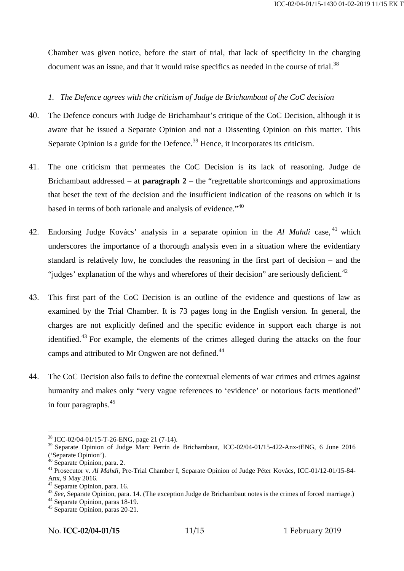Chamber was given notice, before the start of trial, that lack of specificity in the charging document was an issue, and that it would raise specifics as needed in the course of trial.<sup>38</sup>

## *1. The Defence agrees with the criticism of Judge de Brichambaut of the CoC decision*

- 40. The Defence concurs with Judge de Brichambaut's critique of the CoC Decision, although it is aware that he issued a Separate Opinion and not a Dissenting Opinion on this matter. This Separate Opinion is a guide for the Defence.<sup>39</sup> Hence, it incorporates its criticism.
- 41. The one criticism that permeates the CoC Decision is its lack of reasoning. Judge de Brichambaut addressed – at **paragraph 2** – the "regrettable shortcomings and approximations that beset the text of the decision and the insufficient indication of the reasons on which it is based in terms of both rationale and analysis of evidence."<sup>40</sup>
- 42. Endorsing Judge Kovács' analysis in a separate opinion in the *Al Mahdi* case, <sup>41</sup> which underscores the importance of a thorough analysis even in a situation where the evidentiary standard is relatively low, he concludes the reasoning in the first part of decision – and the "judges' explanation of the whys and wherefores of their decision" are seriously deficient. $42$
- 43. This first part of the CoC Decision is an outline of the evidence and questions of law as examined by the Trial Chamber. It is 73 pages long in the English version. In general, the charges are not explicitly defined and the specific evidence in support each charge is not identified.<sup>43</sup> For example, the elements of the crimes alleged during the attacks on the four camps and attributed to Mr Ongwen are not defined.<sup>44</sup>
- 44. The CoC Decision also fails to define the contextual elements of war crimes and crimes against humanity and makes only "very vague references to 'evidence' or notorious facts mentioned" in four paragraphs.<sup>45</sup>

<sup>38</sup> ICC-02/04-01/15-T-26-ENG, page 21 (7-14).

<sup>&</sup>lt;sup>39</sup> Separate Opinion of Judge Marc Perrin de Brichambaut, ICC-02/04-01/15-422-Anx-tENG, 6 June 2016

<sup>(&#</sup>x27;Separate Opinion').<br><sup>40</sup> Separate Opinion, para. 2.<br><sup>41</sup> Prosecutor v. *Al Mahdi*, Pre-Trial Chamber I, Separate Opinion of Judge Péter Kovács, ICC-01/12-01/15-84-<br>Anx, 9 May 2016.

<sup>&</sup>lt;sup>42</sup> Separate Opinion, para. 16.<br><sup>43</sup> *See*, Separate Opinion, para. 14. (The exception Judge de Brichambaut notes is the crimes of forced marriage.)<br><sup>44</sup> Separate Opinion, paras 18-19.

 $45$  Separate Opinion, paras 20-21.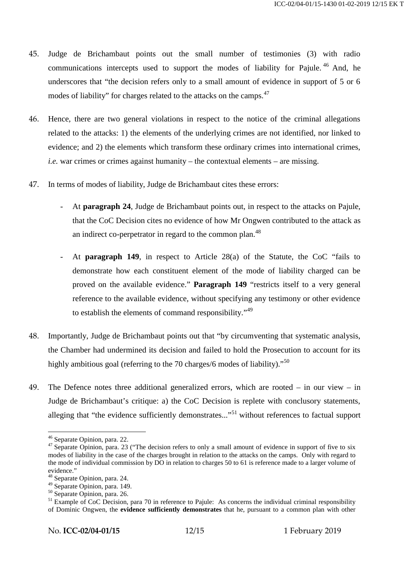- 45. Judge de Brichambaut points out the small number of testimonies (3) with radio communications intercepts used to support the modes of liability for Pajule.  $46$  And, he underscores that "the decision refers only to a small amount of evidence in support of 5 or 6 modes of liability" for charges related to the attacks on the camps.<sup>47</sup>
- 46. Hence, there are two general violations in respect to the notice of the criminal allegations related to the attacks: 1) the elements of the underlying crimes are not identified, nor linked to evidence; and 2) the elements which transform these ordinary crimes into international crimes, *i.e.* war crimes or crimes against humanity – the contextual elements – are missing.
- 47. In terms of modes of liability, Judge de Brichambaut cites these errors:
	- At **paragraph 24**, Judge de Brichambaut points out, in respect to the attacks on Pajule, that the CoC Decision cites no evidence of how Mr Ongwen contributed to the attack as an indirect co-perpetrator in regard to the common plan.  $48$
	- At **paragraph 149**, in respect to Article 28(a) of the Statute, the CoC "fails to demonstrate how each constituent element of the mode of liability charged can be proved on the available evidence." **Paragraph 149** "restricts itself to a very general reference to the available evidence, without specifying any testimony or other evidence to establish the elements of command responsibility."<sup>49</sup>
- 48. Importantly, Judge de Brichambaut points out that "by circumventing that systematic analysis, the Chamber had undermined its decision and failed to hold the Prosecution to account for its highly ambitious goal (referring to the 70 charges/6 modes of liability)."<sup>50</sup>
- 49. The Defence notes three additional generalized errors, which are rooted in our view in Judge de Brichambaut's critique: a) the CoC Decision is replete with conclusory statements, alleging that "the evidence sufficiently demonstrates..."<sup>51</sup> without references to factual support

<sup>&</sup>lt;sup>46</sup> Separate Opinion, para. 22. <sup>47</sup> Separate Opinion, para. 23 ("The decision refers to only a small amount of evidence in support of five to six modes of liability in the case of the charges brought in relation to the attacks on the camps. Only with regard to the mode of individual commission by DO in relation to charges 50 to 61 is reference made to a larger volume of evidence."

<sup>&</sup>lt;sup>48</sup> Separate Opinion, para. 24.<br><sup>49</sup> Separate Opinion, para. 149.

 $^{50}$  Separate Opinion, para. 26.<br><sup>51</sup> Example of CoC Decision, para 70 in reference to Pajule: As concerns the individual criminal responsibility of Dominic Ongwen, the **evidence sufficiently demonstrates** that he, pursuant to a common plan with other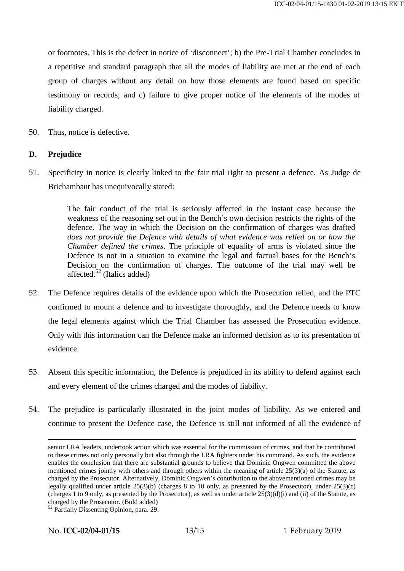or footnotes. This is the defect in notice of 'disconnect'; b) the Pre-Trial Chamber concludes in a repetitive and standard paragraph that all the modes of liability are met at the end of each group of charges without any detail on how those elements are found based on specific testimony or records; and c) failure to give proper notice of the elements of the modes of liability charged.

50. Thus, notice is defective.

## **D. Prejudice**

51. Specificity in notice is clearly linked to the fair trial right to present a defence. As Judge de Brichambaut has unequivocally stated:

> The fair conduct of the trial is seriously affected in the instant case because the weakness of the reasoning set out in the Bench's own decision restricts the rights of the defence. The way in which the Decision on the confirmation of charges was drafted *does not provide the Defence with details of what evidence was relied on or how the Chamber defined the crimes*. The principle of equality of arms is violated since the Defence is not in a situation to examine the legal and factual bases for the Bench's Decision on the confirmation of charges. The outcome of the trial may well be affected. $52$  (Italics added)

- 52. The Defence requires details of the evidence upon which the Prosecution relied, and the PTC confirmed to mount a defence and to investigate thoroughly, and the Defence needs to know the legal elements against which the Trial Chamber has assessed the Prosecution evidence. Only with this information can the Defence make an informed decision as to its presentation of evidence.
- 53. Absent this specific information, the Defence is prejudiced in its ability to defend against each and every element of the crimes charged and the modes of liability.
- 54. The prejudice is particularly illustrated in the joint modes of liability. As we entered and continue to present the Defence case, the Defence is still not informed of all the evidence of

senior LRA leaders, undertook action which was essential for the commission of crimes, and that he contributed to these crimes not only personally but also through the LRA fighters under his command. As such, the evidence enables the conclusion that there are substantial grounds to believe that Dominic Ongwen committed the above mentioned crimes jointly with others and through others within the meaning of article 25(3)(a) of the Statute, as charged by the Prosecutor. Alternatively, Dominic Ongwen's contribution to the abovementioned crimes may be legally qualified under article  $25(3)(b)$  (charges 8 to 10 only, as presented by the Prosecutor), under  $25(3)(c)$ (charges 1 to 9 only, as presented by the Prosecutor), as well as under article  $25(3)(d)(i)$  and (ii) of the Statute, as charged by the Prosecutor. (Bold added)

<sup>&</sup>lt;sup>52</sup> Partially Dissenting Opinion, para. 29.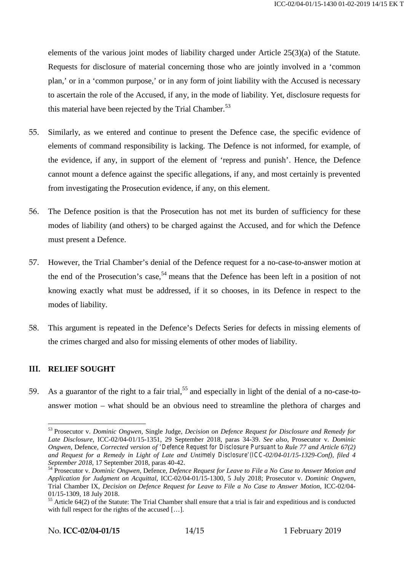elements of the various joint modes of liability charged under Article 25(3)(a) of the Statute. Requests for disclosure of material concerning those who are jointly involved in a 'common plan,' or in a 'common purpose,' or in any form of joint liability with the Accused is necessary to ascertain the role of the Accused, if any, in the mode of liability. Yet, disclosure requests for this material have been rejected by the Trial Chamber.<sup>53</sup>

- 55. Similarly, as we entered and continue to present the Defence case, the specific evidence of elements of command responsibility is lacking. The Defence is not informed, for example, of the evidence, if any, in support of the element of 'repress and punish'. Hence, the Defence cannot mount a defence against the specific allegations, if any, and most certainly is prevented from investigating the Prosecution evidence, if any, on this element.
- 56. The Defence position is that the Prosecution has not met its burden of sufficiency for these modes of liability (and others) to be charged against the Accused, and for which the Defence must present a Defence.
- 57. However, the Trial Chamber's denial of the Defence request for a no-case-to-answer motion at the end of the Prosecution's case,<sup>54</sup> means that the Defence has been left in a position of not knowing exactly what must be addressed, if it so chooses, in its Defence in respect to the modes of liability.
- 58. This argument is repeated in the Defence's Defects Series for defects in missing elements of the crimes charged and also for missing elements of other modes of liability.

# **III. RELIEF SOUGHT**

59. As a guarantor of the right to a fair trial,  $55$  and especially in light of the denial of a no-case-toanswer motion – what should be an obvious need to streamline the plethora of charges and

<sup>53</sup> Prosecutor v. *Dominic Ongwen,* Single Judge, *Decision on Defence Request for Disclosure and Remedy for Late Disclosure*, ICC-02/04-01/15-1351, 29 September 2018, paras 34-39. *See also*, Prosecutor v. *Dominic Ongwen,* Defence*, Corrected version of 'Defence Request for Disclosure Pursuant to Rule 77 and Article 67(2) and Request for a Remedy in Light of Late and Untimely Disclosure'(ICC-02/04-01/15-1329-Conf), filed 4*

*September 2018,* 17 September 2018, paras 40-42. <sup>54</sup> Prosecutor v. *Dominic Ongwen*, Defence, *Defence Request for Leave to File a No Case to Answer Motion and Application for Judgment on Acquittal*, ICC-02/04-01/15-1300, 5 July 2018; Prosecutor v. *Dominic Ongwen*, Trial Chamber IX, *Decision on Defence Request for Leave to File a No Case to Answer Motion*, ICC-02/04-

<sup>&</sup>lt;sup>55</sup> Article 64(2) of the Statute: The Trial Chamber shall ensure that a trial is fair and expeditious and is conducted with full respect for the rights of the accused [...].